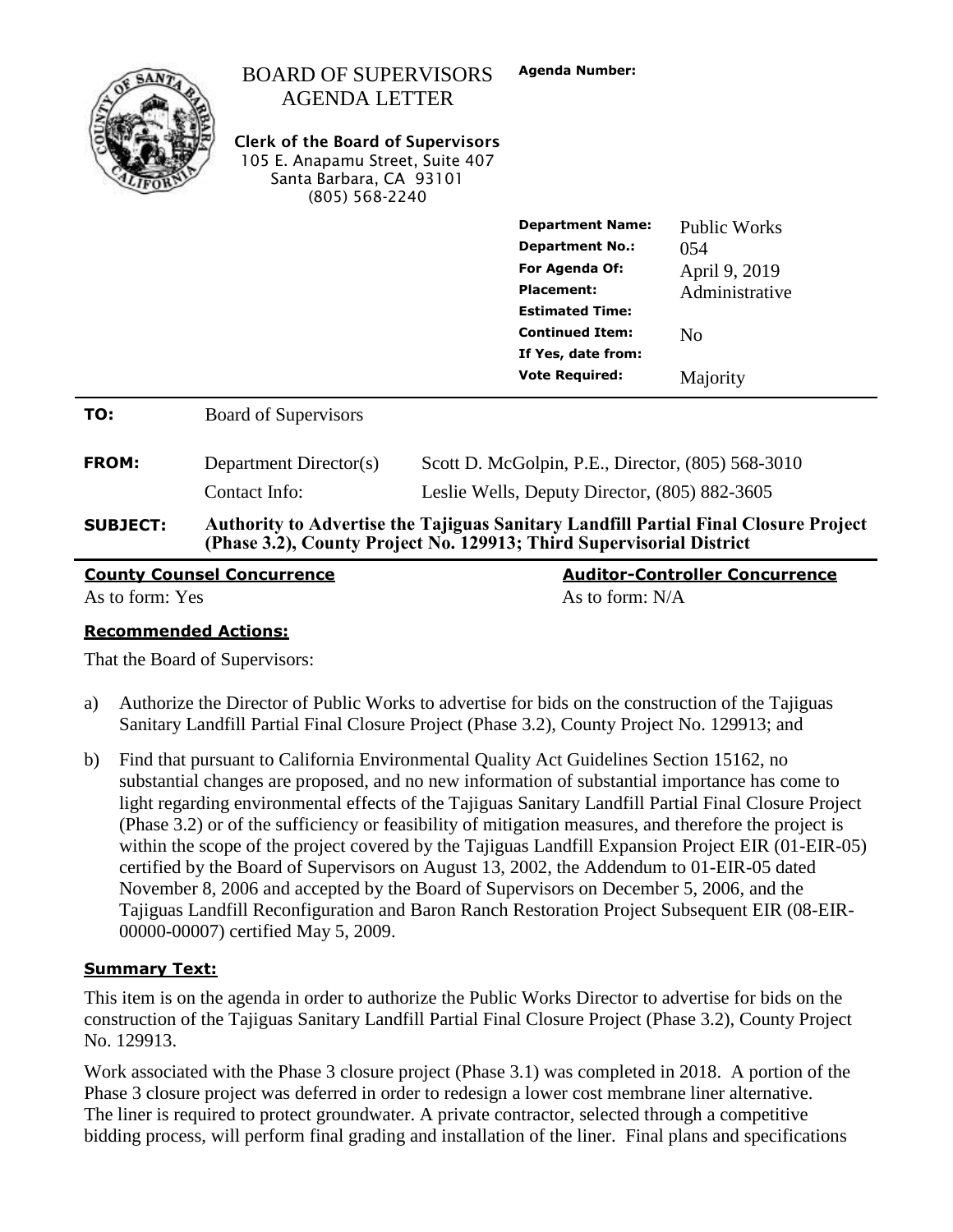|                                   | <b>BOARD OF SUPERVISORS</b><br><b>AGENDA LETTER</b><br><b>Clerk of the Board of Supervisors</b><br>105 E. Anapamu Street, Suite 407<br>Santa Barbara, CA 93101<br>(805) 568-2240 | <b>Agenda Number:</b>                                                                                                                                                                                                                                                    |                                                                                             |
|-----------------------------------|----------------------------------------------------------------------------------------------------------------------------------------------------------------------------------|--------------------------------------------------------------------------------------------------------------------------------------------------------------------------------------------------------------------------------------------------------------------------|---------------------------------------------------------------------------------------------|
|                                   |                                                                                                                                                                                  | <b>Department Name:</b><br><b>Department No.:</b><br>For Agenda Of:<br>Placement:<br><b>Estimated Time:</b><br><b>Continued Item:</b><br>If Yes, date from:<br><b>Vote Required:</b>                                                                                     | <b>Public Works</b><br>054<br>April 9, 2019<br>Administrative<br>N <sub>0</sub><br>Majority |
| TO:                               | <b>Board of Supervisors</b>                                                                                                                                                      |                                                                                                                                                                                                                                                                          |                                                                                             |
| <b>FROM:</b><br><b>SUBJECT:</b>   | Department Director(s)<br>Contact Info:                                                                                                                                          | Scott D. McGolpin, P.E., Director, (805) 568-3010<br>Leslie Wells, Deputy Director, (805) 882-3605<br><b>Authority to Advertise the Tajiguas Sanitary Landfill Partial Final Closure Project</b><br>(Phase 3.2), County Project No. 129913; Third Supervisorial District |                                                                                             |
| <b>County Counsel Concurrence</b> |                                                                                                                                                                                  |                                                                                                                                                                                                                                                                          | <b>Auditor-Controller Concurrence</b>                                                       |

As to form: Yes As to form: N/A

**Recommended Actions:**

That the Board of Supervisors:

- a) Authorize the Director of Public Works to advertise for bids on the construction of the Tajiguas Sanitary Landfill Partial Final Closure Project (Phase 3.2), County Project No. 129913; and
- b) Find that pursuant to California Environmental Quality Act Guidelines Section 15162, no substantial changes are proposed, and no new information of substantial importance has come to light regarding environmental effects of the Tajiguas Sanitary Landfill Partial Final Closure Project (Phase 3.2) or of the sufficiency or feasibility of mitigation measures, and therefore the project is within the scope of the project covered by the Tajiguas Landfill Expansion Project EIR (01-EIR-05) certified by the Board of Supervisors on August 13, 2002, the Addendum to 01-EIR-05 dated November 8, 2006 and accepted by the Board of Supervisors on December 5, 2006, and the Tajiguas Landfill Reconfiguration and Baron Ranch Restoration Project Subsequent EIR (08-EIR-00000-00007) certified May 5, 2009.

### **Summary Text:**

This item is on the agenda in order to authorize the Public Works Director to advertise for bids on the construction of the Tajiguas Sanitary Landfill Partial Final Closure Project (Phase 3.2), County Project No. 129913.

Work associated with the Phase 3 closure project (Phase 3.1) was completed in 2018. A portion of the Phase 3 closure project was deferred in order to redesign a lower cost membrane liner alternative. The liner is required to protect groundwater. A private contractor, selected through a competitive bidding process, will perform final grading and installation of the liner. Final plans and specifications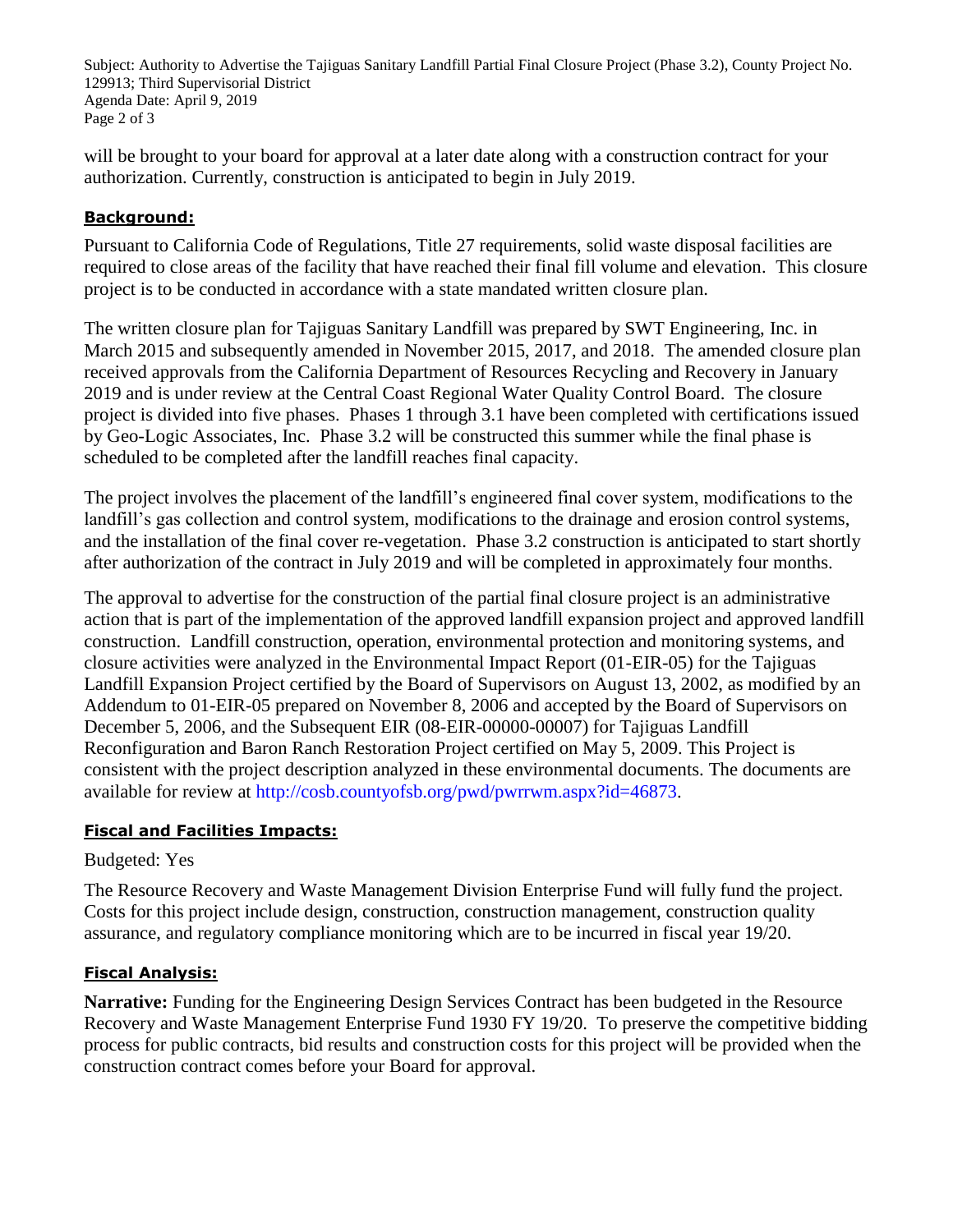Subject: Authority to Advertise the Tajiguas Sanitary Landfill Partial Final Closure Project (Phase 3.2), County Project No. 129913; Third Supervisorial District Agenda Date: April 9, 2019 Page 2 of 3

will be brought to your board for approval at a later date along with a construction contract for your authorization. Currently, construction is anticipated to begin in July 2019.

# **Background:**

Pursuant to California Code of Regulations, Title 27 requirements, solid waste disposal facilities are required to close areas of the facility that have reached their final fill volume and elevation. This closure project is to be conducted in accordance with a state mandated written closure plan.

The written closure plan for Tajiguas Sanitary Landfill was prepared by SWT Engineering, Inc. in March 2015 and subsequently amended in November 2015, 2017, and 2018. The amended closure plan received approvals from the California Department of Resources Recycling and Recovery in January 2019 and is under review at the Central Coast Regional Water Quality Control Board. The closure project is divided into five phases. Phases 1 through 3.1 have been completed with certifications issued by Geo-Logic Associates, Inc. Phase 3.2 will be constructed this summer while the final phase is scheduled to be completed after the landfill reaches final capacity.

The project involves the placement of the landfill's engineered final cover system, modifications to the landfill's gas collection and control system, modifications to the drainage and erosion control systems, and the installation of the final cover re-vegetation. Phase 3.2 construction is anticipated to start shortly after authorization of the contract in July 2019 and will be completed in approximately four months.

The approval to advertise for the construction of the partial final closure project is an administrative action that is part of the implementation of the approved landfill expansion project and approved landfill construction. Landfill construction, operation, environmental protection and monitoring systems, and closure activities were analyzed in the Environmental Impact Report (01-EIR-05) for the Tajiguas Landfill Expansion Project certified by the Board of Supervisors on August 13, 2002, as modified by an Addendum to 01-EIR-05 prepared on November 8, 2006 and accepted by the Board of Supervisors on December 5, 2006, and the Subsequent EIR (08-EIR-00000-00007) for Tajiguas Landfill Reconfiguration and Baron Ranch Restoration Project certified on May 5, 2009. This Project is consistent with the project description analyzed in these environmental documents. The documents are available for review at [http://cosb.countyofsb.org/pwd/pwrrwm.aspx?id=46873.](http://cosb.countyofsb.org/pwd/pwrrwm.aspx?id=46873)

## **Fiscal and Facilities Impacts:**

## Budgeted: Yes

The Resource Recovery and Waste Management Division Enterprise Fund will fully fund the project. Costs for this project include design, construction, construction management, construction quality assurance, and regulatory compliance monitoring which are to be incurred in fiscal year 19/20.

### **Fiscal Analysis:**

**Narrative:** Funding for the Engineering Design Services Contract has been budgeted in the Resource Recovery and Waste Management Enterprise Fund 1930 FY 19/20. To preserve the competitive bidding process for public contracts, bid results and construction costs for this project will be provided when the construction contract comes before your Board for approval.